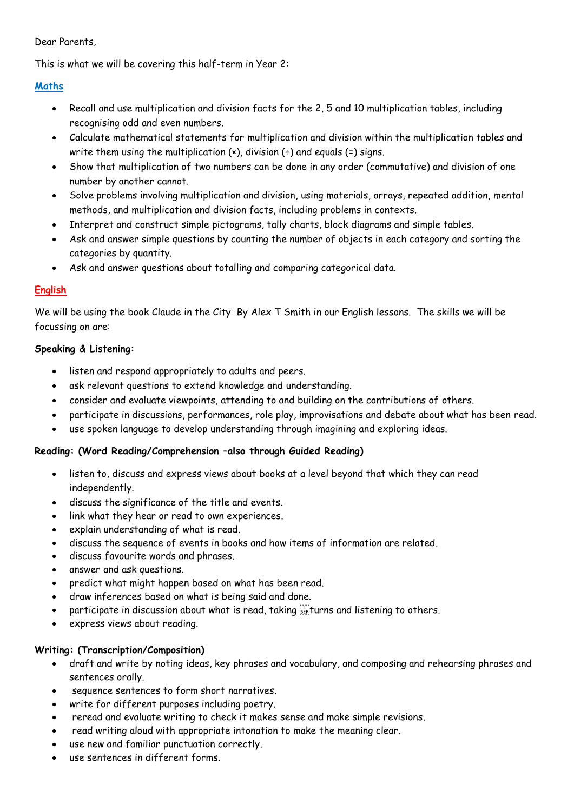#### Dear Parents,

This is what we will be covering this half-term in Year 2:

#### **Maths**

- Recall and use multiplication and division facts for the 2, 5 and 10 multiplication tables, including recognising odd and even numbers.
- Calculate mathematical statements for multiplication and division within the multiplication tables and write them using the multiplication  $(x)$ , division  $\left(\frac{1}{x}\right)$  and equals  $(z)$  signs.
- Show that multiplication of two numbers can be done in any order (commutative) and division of one number by another cannot.
- Solve problems involving multiplication and division, using materials, arrays, repeated addition, mental methods, and multiplication and division facts, including problems in contexts.
- Interpret and construct simple pictograms, tally charts, block diagrams and simple tables.
- Ask and answer simple questions by counting the number of objects in each category and sorting the categories by quantity.
- Ask and answer questions about totalling and comparing categorical data.

## **English**

We will be using the book Claude in the City By Alex T Smith in our English lessons. The skills we will be focussing on are:

### **Speaking & Listening:**

- listen and respond appropriately to adults and peers.
- ask relevant questions to extend knowledge and understanding.
- consider and evaluate viewpoints, attending to and building on the contributions of others.
- participate in discussions, performances, role play, improvisations and debate about what has been read.
- use spoken language to develop understanding through imagining and exploring ideas.

### **Reading: (Word Reading/Comprehension –also through Guided Reading)**

- listen to, discuss and express views about books at a level beyond that which they can read independently.
- discuss the significance of the title and events.
- link what they hear or read to own experiences.
- explain understanding of what is read.
- discuss the sequence of events in books and how items of information are related.
- discuss favourite words and phrases.
- answer and ask questions.
- predict what might happen based on what has been read.
- draw inferences based on what is being said and done.
- participate in discussion about what is read, taking sections and listening to others.
- express views about reading.

### **Writing: (Transcription/Composition)**

- draft and write by noting ideas, key phrases and vocabulary, and composing and rehearsing phrases and sentences orally.
- sequence sentences to form short narratives.
- write for different purposes including poetry.
- reread and evaluate writing to check it makes sense and make simple revisions.
- read writing aloud with appropriate intonation to make the meaning clear.
- use new and familiar punctuation correctly.
- use sentences in different forms.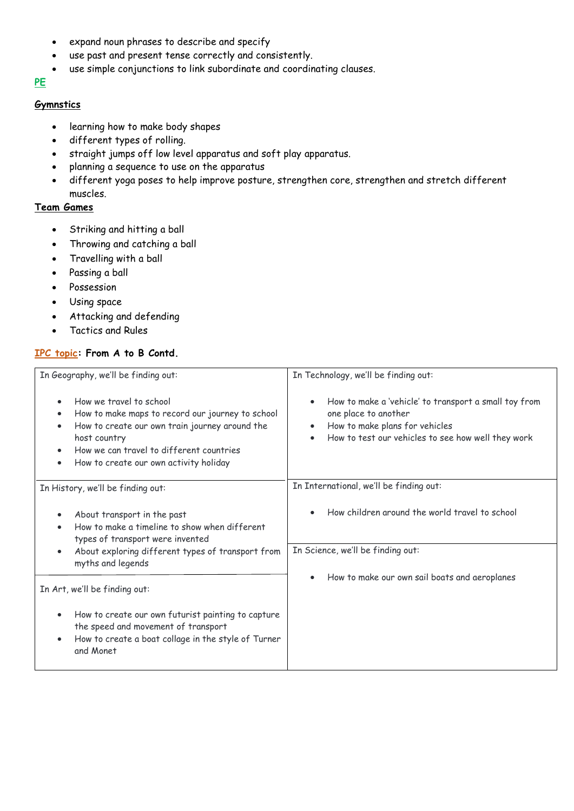- expand noun phrases to describe and specify
- use past and present tense correctly and consistently.
- use simple conjunctions to link subordinate and coordinating clauses.

## **PE**

### **Gymnstics**

- learning how to make body shapes
- different types of rolling.
- straight jumps off low level apparatus and soft play apparatus.
- planning a sequence to use on the apparatus
- different yoga poses to help improve posture, strengthen core, strengthen and stretch different muscles.

# **Team Games**

- Striking and hitting a ball
- Throwing and catching a ball
- Travelling with a ball
- Passing a ball
- Possession
- Using space
- Attacking and defending
- Tactics and Rules

## **IPC topic: From A to B Contd.**

| In Geography, we'll be finding out:                                                                                                                                                                                                                                                  | In Technology, we'll be finding out:                                                                                                                                                            |
|--------------------------------------------------------------------------------------------------------------------------------------------------------------------------------------------------------------------------------------------------------------------------------------|-------------------------------------------------------------------------------------------------------------------------------------------------------------------------------------------------|
| How we travel to school<br>$\bullet$<br>How to make maps to record our journey to school<br>٠<br>How to create our own train journey around the<br>$\bullet$<br>host country<br>How we can travel to different countries<br>$\bullet$<br>How to create our own activity holiday<br>٠ | How to make a 'vehicle' to transport a small toy from<br>$\bullet$<br>one place to another<br>How to make plans for vehicles<br>$\bullet$<br>How to test our vehicles to see how well they work |
| In History, we'll be finding out:                                                                                                                                                                                                                                                    | In International, we'll be finding out:                                                                                                                                                         |
| About transport in the past<br>$\bullet$<br>How to make a timeline to show when different<br>$\bullet$<br>types of transport were invented                                                                                                                                           | How children around the world travel to school<br>$\bullet$                                                                                                                                     |
| About exploring different types of transport from<br>$\bullet$<br>myths and legends                                                                                                                                                                                                  | In Science, we'll be finding out:                                                                                                                                                               |
| In Art, we'll be finding out:                                                                                                                                                                                                                                                        | How to make our own sail boats and aeroplanes<br>$\bullet$                                                                                                                                      |
| How to create our own futurist painting to capture<br>$\bullet$<br>the speed and movement of transport<br>How to create a boat collage in the style of Turner<br>$\bullet$<br>and Monet                                                                                              |                                                                                                                                                                                                 |